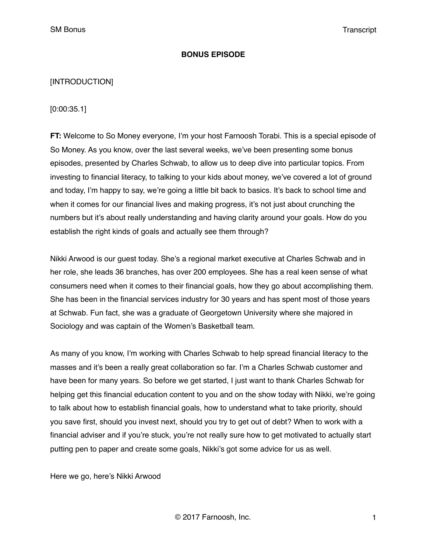### **BONUS EPISODE**

### [INTRODUCTION]

[0:00:35.1]

**FT:** Welcome to So Money everyone, I'm your host Farnoosh Torabi. This is a special episode of So Money. As you know, over the last several weeks, we've been presenting some bonus episodes, presented by Charles Schwab, to allow us to deep dive into particular topics. From investing to financial literacy, to talking to your kids about money, we've covered a lot of ground and today, I'm happy to say, we're going a little bit back to basics. It's back to school time and when it comes for our financial lives and making progress, it's not just about crunching the numbers but it's about really understanding and having clarity around your goals. How do you establish the right kinds of goals and actually see them through?

Nikki Arwood is our guest today. She's a regional market executive at Charles Schwab and in her role, she leads 36 branches, has over 200 employees. She has a real keen sense of what consumers need when it comes to their financial goals, how they go about accomplishing them. She has been in the financial services industry for 30 years and has spent most of those years at Schwab. Fun fact, she was a graduate of Georgetown University where she majored in Sociology and was captain of the Women's Basketball team.

As many of you know, I'm working with Charles Schwab to help spread financial literacy to the masses and it's been a really great collaboration so far. I'm a Charles Schwab customer and have been for many years. So before we get started, I just want to thank Charles Schwab for helping get this financial education content to you and on the show today with Nikki, we're going to talk about how to establish financial goals, how to understand what to take priority, should you save first, should you invest next, should you try to get out of debt? When to work with a financial adviser and if you're stuck, you're not really sure how to get motivated to actually start putting pen to paper and create some goals, Nikki's got some advice for us as well.

Here we go, here's Nikki Arwood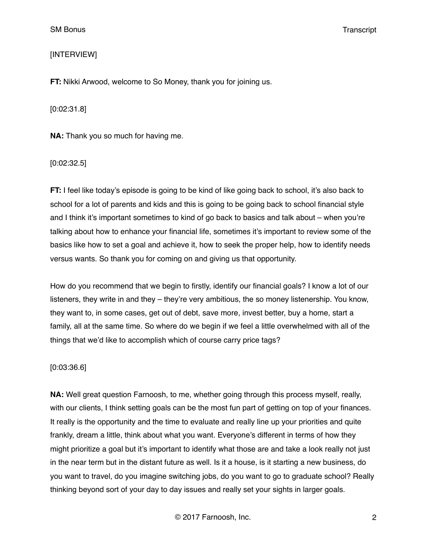# [INTERVIEW]

**FT:** Nikki Arwood, welcome to So Money, thank you for joining us.

[0:02:31.8]

**NA:** Thank you so much for having me.

[0:02:32.5]

**FT:** I feel like today's episode is going to be kind of like going back to school, it's also back to school for a lot of parents and kids and this is going to be going back to school financial style and I think it's important sometimes to kind of go back to basics and talk about – when you're talking about how to enhance your financial life, sometimes it's important to review some of the basics like how to set a goal and achieve it, how to seek the proper help, how to identify needs versus wants. So thank you for coming on and giving us that opportunity.

How do you recommend that we begin to firstly, identify our financial goals? I know a lot of our listeners, they write in and they – they're very ambitious, the so money listenership. You know, they want to, in some cases, get out of debt, save more, invest better, buy a home, start a family, all at the same time. So where do we begin if we feel a little overwhelmed with all of the things that we'd like to accomplish which of course carry price tags?

# [0:03:36.6]

**NA:** Well great question Farnoosh, to me, whether going through this process myself, really, with our clients, I think setting goals can be the most fun part of getting on top of your finances. It really is the opportunity and the time to evaluate and really line up your priorities and quite frankly, dream a little, think about what you want. Everyone's different in terms of how they might prioritize a goal but it's important to identify what those are and take a look really not just in the near term but in the distant future as well. Is it a house, is it starting a new business, do you want to travel, do you imagine switching jobs, do you want to go to graduate school? Really thinking beyond sort of your day to day issues and really set your sights in larger goals.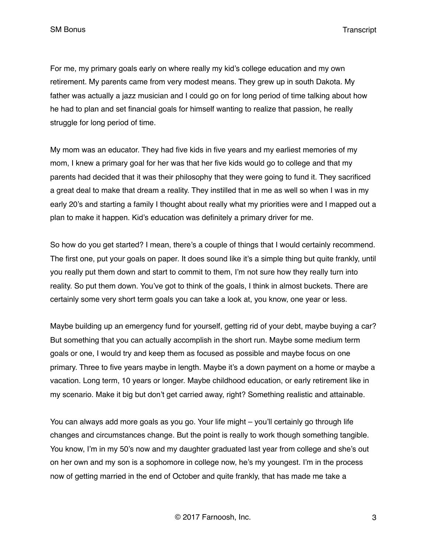For me, my primary goals early on where really my kid's college education and my own retirement. My parents came from very modest means. They grew up in south Dakota. My father was actually a jazz musician and I could go on for long period of time talking about how he had to plan and set financial goals for himself wanting to realize that passion, he really struggle for long period of time.

My mom was an educator. They had five kids in five years and my earliest memories of my mom, I knew a primary goal for her was that her five kids would go to college and that my parents had decided that it was their philosophy that they were going to fund it. They sacrificed a great deal to make that dream a reality. They instilled that in me as well so when I was in my early 20's and starting a family I thought about really what my priorities were and I mapped out a plan to make it happen. Kid's education was definitely a primary driver for me.

So how do you get started? I mean, there's a couple of things that I would certainly recommend. The first one, put your goals on paper. It does sound like it's a simple thing but quite frankly, until you really put them down and start to commit to them, I'm not sure how they really turn into reality. So put them down. You've got to think of the goals, I think in almost buckets. There are certainly some very short term goals you can take a look at, you know, one year or less.

Maybe building up an emergency fund for yourself, getting rid of your debt, maybe buying a car? But something that you can actually accomplish in the short run. Maybe some medium term goals or one, I would try and keep them as focused as possible and maybe focus on one primary. Three to five years maybe in length. Maybe it's a down payment on a home or maybe a vacation. Long term, 10 years or longer. Maybe childhood education, or early retirement like in my scenario. Make it big but don't get carried away, right? Something realistic and attainable.

You can always add more goals as you go. Your life might – you'll certainly go through life changes and circumstances change. But the point is really to work though something tangible. You know, I'm in my 50's now and my daughter graduated last year from college and she's out on her own and my son is a sophomore in college now, he's my youngest. I'm in the process now of getting married in the end of October and quite frankly, that has made me take a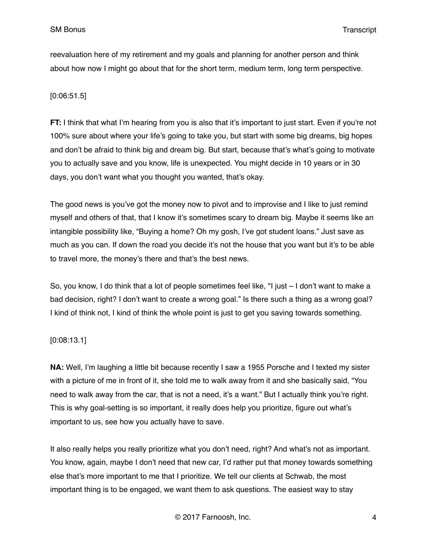reevaluation here of my retirement and my goals and planning for another person and think about how now I might go about that for the short term, medium term, long term perspective.

# [0:06:51.5]

**FT:** I think that what I'm hearing from you is also that it's important to just start. Even if you're not 100% sure about where your life's going to take you, but start with some big dreams, big hopes and don't be afraid to think big and dream big. But start, because that's what's going to motivate you to actually save and you know, life is unexpected. You might decide in 10 years or in 30 days, you don't want what you thought you wanted, that's okay.

The good news is you've got the money now to pivot and to improvise and I like to just remind myself and others of that, that I know it's sometimes scary to dream big. Maybe it seems like an intangible possibility like, "Buying a home? Oh my gosh, I've got student loans." Just save as much as you can. If down the road you decide it's not the house that you want but it's to be able to travel more, the money's there and that's the best news.

So, you know, I do think that a lot of people sometimes feel like, "I just – I don't want to make a bad decision, right? I don't want to create a wrong goal." Is there such a thing as a wrong goal? I kind of think not, I kind of think the whole point is just to get you saving towards something.

# [0:08:13.1]

**NA:** Well, I'm laughing a little bit because recently I saw a 1955 Porsche and I texted my sister with a picture of me in front of it, she told me to walk away from it and she basically said, "You need to walk away from the car, that is not a need, it's a want." But I actually think you're right. This is why goal-setting is so important, it really does help you prioritize, figure out what's important to us, see how you actually have to save.

It also really helps you really prioritize what you don't need, right? And what's not as important. You know, again, maybe I don't need that new car, I'd rather put that money towards something else that's more important to me that I prioritize. We tell our clients at Schwab, the most important thing is to be engaged, we want them to ask questions. The easiest way to stay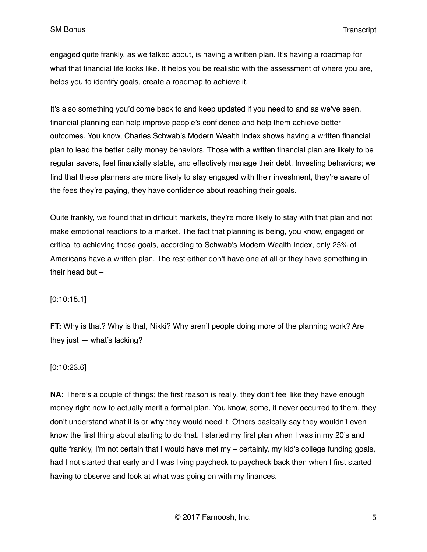engaged quite frankly, as we talked about, is having a written plan. It's having a roadmap for what that financial life looks like. It helps you be realistic with the assessment of where you are, helps you to identify goals, create a roadmap to achieve it.

It's also something you'd come back to and keep updated if you need to and as we've seen, financial planning can help improve people's confidence and help them achieve better outcomes. You know, Charles Schwab's Modern Wealth Index shows having a written financial plan to lead the better daily money behaviors. Those with a written financial plan are likely to be regular savers, feel financially stable, and effectively manage their debt. Investing behaviors; we find that these planners are more likely to stay engaged with their investment, they're aware of the fees they're paying, they have confidence about reaching their goals.

Quite frankly, we found that in difficult markets, they're more likely to stay with that plan and not make emotional reactions to a market. The fact that planning is being, you know, engaged or critical to achieving those goals, according to Schwab's Modern Wealth Index, only 25% of Americans have a written plan. The rest either don't have one at all or they have something in their head but –

# [0:10:15.1]

**FT:** Why is that? Why is that, Nikki? Why aren't people doing more of the planning work? Are they just  $-$  what's lacking?

#### [0:10:23.6]

**NA:** There's a couple of things; the first reason is really, they don't feel like they have enough money right now to actually merit a formal plan. You know, some, it never occurred to them, they don't understand what it is or why they would need it. Others basically say they wouldn't even know the first thing about starting to do that. I started my first plan when I was in my 20's and quite frankly, I'm not certain that I would have met my – certainly, my kid's college funding goals, had I not started that early and I was living paycheck to paycheck back then when I first started having to observe and look at what was going on with my finances.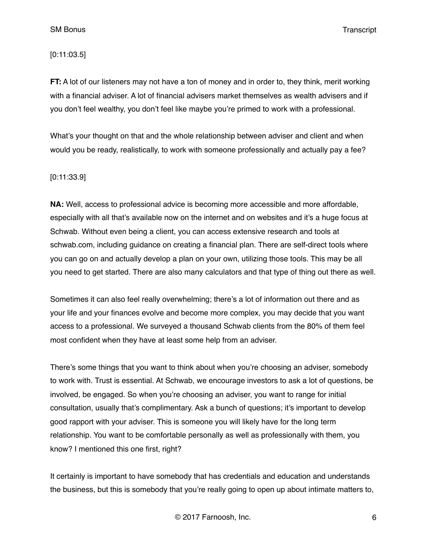### [0:11:03.5]

**FT:** A lot of our listeners may not have a ton of money and in order to, they think, merit working with a financial adviser. A lot of financial advisers market themselves as wealth advisers and if you don't feel wealthy, you don't feel like maybe you're primed to work with a professional.

What's your thought on that and the whole relationship between adviser and client and when would you be ready, realistically, to work with someone professionally and actually pay a fee?

#### [0:11:33.9]

**NA:** Well, access to professional advice is becoming more accessible and more affordable, especially with all that's available now on the internet and on websites and it's a huge focus at Schwab. Without even being a client, you can access extensive research and tools at schwab.com, including guidance on creating a financial plan. There are self-direct tools where you can go on and actually develop a plan on your own, utilizing those tools. This may be all you need to get started. There are also many calculators and that type of thing out there as well.

Sometimes it can also feel really overwhelming; there's a lot of information out there and as your life and your finances evolve and become more complex, you may decide that you want access to a professional. We surveyed a thousand Schwab clients from the 80% of them feel most confident when they have at least some help from an adviser.

There's some things that you want to think about when you're choosing an adviser, somebody to work with. Trust is essential. At Schwab, we encourage investors to ask a lot of questions, be involved, be engaged. So when you're choosing an adviser, you want to range for initial consultation, usually that's complimentary. Ask a bunch of questions; it's important to develop good rapport with your adviser. This is someone you will likely have for the long term relationship. You want to be comfortable personally as well as professionally with them, you know? I mentioned this one first, right?

It certainly is important to have somebody that has credentials and education and understands the business, but this is somebody that you're really going to open up about intimate matters to,

© 2017 Farnoosh, Inc. 6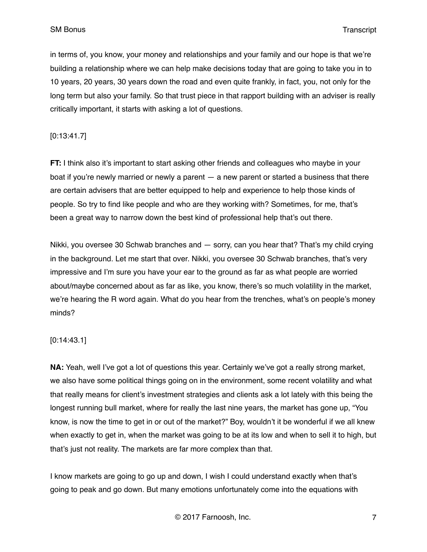in terms of, you know, your money and relationships and your family and our hope is that we're building a relationship where we can help make decisions today that are going to take you in to 10 years, 20 years, 30 years down the road and even quite frankly, in fact, you, not only for the long term but also your family. So that trust piece in that rapport building with an adviser is really critically important, it starts with asking a lot of questions.

# [0:13:41.7]

**FT:** I think also it's important to start asking other friends and colleagues who maybe in your boat if you're newly married or newly a parent — a new parent or started a business that there are certain advisers that are better equipped to help and experience to help those kinds of people. So try to find like people and who are they working with? Sometimes, for me, that's been a great way to narrow down the best kind of professional help that's out there.

Nikki, you oversee 30 Schwab branches and — sorry, can you hear that? That's my child crying in the background. Let me start that over. Nikki, you oversee 30 Schwab branches, that's very impressive and I'm sure you have your ear to the ground as far as what people are worried about/maybe concerned about as far as like, you know, there's so much volatility in the market, we're hearing the R word again. What do you hear from the trenches, what's on people's money minds?

# [0:14:43.1]

**NA:** Yeah, well I've got a lot of questions this year. Certainly we've got a really strong market, we also have some political things going on in the environment, some recent volatility and what that really means for client's investment strategies and clients ask a lot lately with this being the longest running bull market, where for really the last nine years, the market has gone up, "You know, is now the time to get in or out of the market?" Boy, wouldn't it be wonderful if we all knew when exactly to get in, when the market was going to be at its low and when to sell it to high, but that's just not reality. The markets are far more complex than that.

I know markets are going to go up and down, I wish I could understand exactly when that's going to peak and go down. But many emotions unfortunately come into the equations with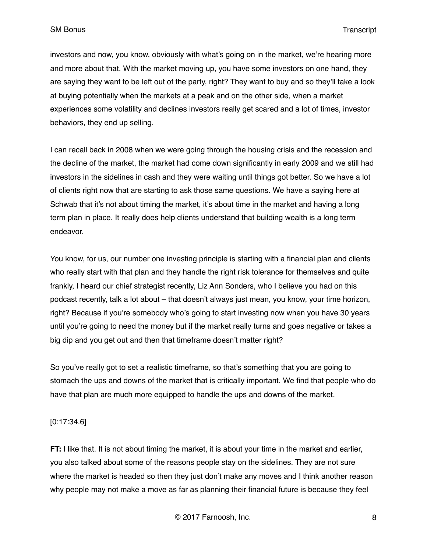investors and now, you know, obviously with what's going on in the market, we're hearing more and more about that. With the market moving up, you have some investors on one hand, they are saying they want to be left out of the party, right? They want to buy and so they'll take a look at buying potentially when the markets at a peak and on the other side, when a market experiences some volatility and declines investors really get scared and a lot of times, investor behaviors, they end up selling.

I can recall back in 2008 when we were going through the housing crisis and the recession and the decline of the market, the market had come down significantly in early 2009 and we still had investors in the sidelines in cash and they were waiting until things got better. So we have a lot of clients right now that are starting to ask those same questions. We have a saying here at Schwab that it's not about timing the market, it's about time in the market and having a long term plan in place. It really does help clients understand that building wealth is a long term endeavor.

You know, for us, our number one investing principle is starting with a financial plan and clients who really start with that plan and they handle the right risk tolerance for themselves and quite frankly, I heard our chief strategist recently, Liz Ann Sonders, who I believe you had on this podcast recently, talk a lot about – that doesn't always just mean, you know, your time horizon, right? Because if you're somebody who's going to start investing now when you have 30 years until you're going to need the money but if the market really turns and goes negative or takes a big dip and you get out and then that timeframe doesn't matter right?

So you've really got to set a realistic timeframe, so that's something that you are going to stomach the ups and downs of the market that is critically important. We find that people who do have that plan are much more equipped to handle the ups and downs of the market.

# [0:17:34.6]

**FT:** I like that. It is not about timing the market, it is about your time in the market and earlier, you also talked about some of the reasons people stay on the sidelines. They are not sure where the market is headed so then they just don't make any moves and I think another reason why people may not make a move as far as planning their financial future is because they feel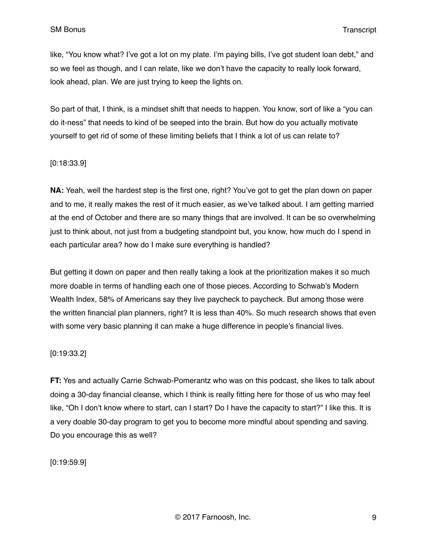like, "You know what? I've got a lot on my plate. I'm paying bills, I've got student loan debt," and so we feel as though, and I can relate, like we don't have the capacity to really look forward, look ahead, plan. We are just trying to keep the lights on.

So part of that, I think, is a mindset shift that needs to happen. You know, sort of like a "you can do it-ness" that needs to kind of be seeped into the brain. But how do you actually motivate yourself to get rid of some of these limiting beliefs that I think a lot of us can relate to?

### [0:18:33.9]

**NA:** Yeah, well the hardest step is the first one, right? You've got to get the plan down on paper and to me, it really makes the rest of it much easier, as we've talked about. I am getting married at the end of October and there are so many things that are involved. It can be so overwhelming just to think about, not just from a budgeting standpoint but, you know, how much do I spend in each particular area? how do I make sure everything is handled?

But getting it down on paper and then really taking a look at the prioritization makes it so much more doable in terms of handling each one of those pieces. According to Schwab's Modern Wealth Index, 58% of Americans say they live paycheck to paycheck. But among those were the written financial plan planners, right? It is less than 40%. So much research shows that even with some very basic planning it can make a huge difference in people's financial lives.

# [0:19:33.2]

**FT:** Yes and actually Carrie Schwab-Pomerantz who was on this podcast, she likes to talk about doing a 30-day financial cleanse, which I think is really fitting here for those of us who may feel like, "Oh I don't know where to start, can I start? Do I have the capacity to start?" I like this. It is a very doable 30-day program to get you to become more mindful about spending and saving. Do you encourage this as well?

[0:19:59.9]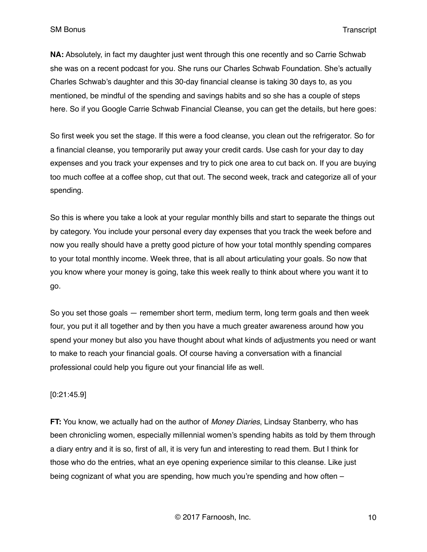**NA:** Absolutely, in fact my daughter just went through this one recently and so Carrie Schwab she was on a recent podcast for you. She runs our Charles Schwab Foundation. She's actually Charles Schwab's daughter and this 30-day financial cleanse is taking 30 days to, as you mentioned, be mindful of the spending and savings habits and so she has a couple of steps here. So if you Google Carrie Schwab Financial Cleanse, you can get the details, but here goes:

So first week you set the stage. If this were a food cleanse, you clean out the refrigerator. So for a financial cleanse, you temporarily put away your credit cards. Use cash for your day to day expenses and you track your expenses and try to pick one area to cut back on. If you are buying too much coffee at a coffee shop, cut that out. The second week, track and categorize all of your spending.

So this is where you take a look at your regular monthly bills and start to separate the things out by category. You include your personal every day expenses that you track the week before and now you really should have a pretty good picture of how your total monthly spending compares to your total monthly income. Week three, that is all about articulating your goals. So now that you know where your money is going, take this week really to think about where you want it to go.

So you set those goals — remember short term, medium term, long term goals and then week four, you put it all together and by then you have a much greater awareness around how you spend your money but also you have thought about what kinds of adjustments you need or want to make to reach your financial goals. Of course having a conversation with a financial professional could help you figure out your financial life as well.

# [0:21:45.9]

**FT:** You know, we actually had on the author of *Money Diaries*, Lindsay Stanberry, who has been chronicling women, especially millennial women's spending habits as told by them through a diary entry and it is so, first of all, it is very fun and interesting to read them. But I think for those who do the entries, what an eye opening experience similar to this cleanse. Like just being cognizant of what you are spending, how much you're spending and how often –